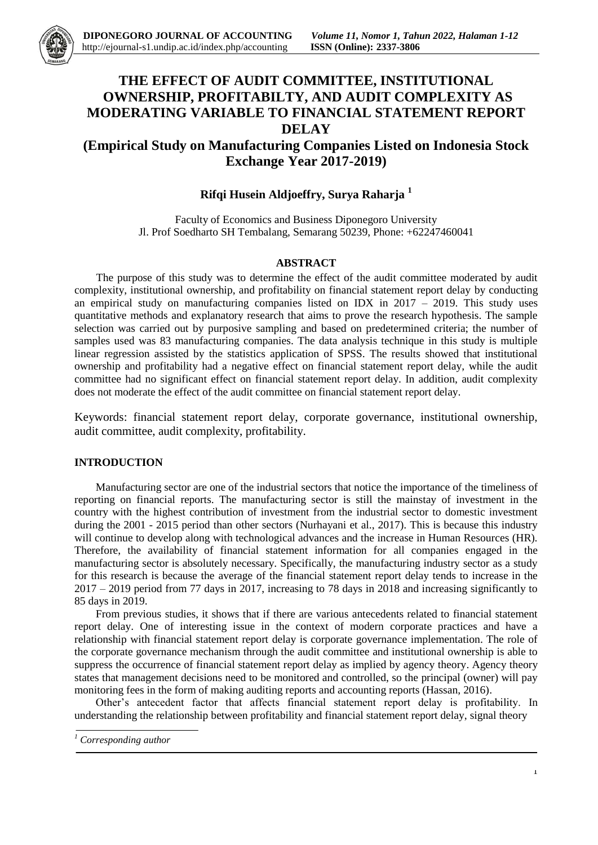

# **THE EFFECT OF AUDIT COMMITTEE, INSTITUTIONAL OWNERSHIP, PROFITABILTY, AND AUDIT COMPLEXITY AS MODERATING VARIABLE TO FINANCIAL STATEMENT REPORT DELAY**

## **(Empirical Study on Manufacturing Companies Listed on Indonesia Stock Exchange Year 2017-2019)**

## **Rifqi Husein Aldjoeffry, Surya Raharja <sup>1</sup>**

Faculty of Economics and Business Diponegoro University Jl. Prof Soedharto SH Tembalang, Semarang 50239, Phone: +62247460041

## **ABSTRACT**

The purpose of this study was to determine the effect of the audit committee moderated by audit complexity, institutional ownership, and profitability on financial statement report delay by conducting an empirical study on manufacturing companies listed on IDX in  $2017 - 2019$ . This study uses quantitative methods and explanatory research that aims to prove the research hypothesis. The sample selection was carried out by purposive sampling and based on predetermined criteria; the number of samples used was 83 manufacturing companies. The data analysis technique in this study is multiple linear regression assisted by the statistics application of SPSS. The results showed that institutional ownership and profitability had a negative effect on financial statement report delay, while the audit committee had no significant effect on financial statement report delay. In addition, audit complexity does not moderate the effect of the audit committee on financial statement report delay.

Keywords: financial statement report delay, corporate governance, institutional ownership, audit committee, audit complexity, profitability.

## **INTRODUCTION**

Manufacturing sector are one of the industrial sectors that notice the importance of the timeliness of reporting on financial reports. The manufacturing sector is still the mainstay of investment in the country with the highest contribution of investment from the industrial sector to domestic investment during the 2001 - 2015 period than other sectors (Nurhayani et al., 2017). This is because this industry will continue to develop along with technological advances and the increase in Human Resources (HR). Therefore, the availability of financial statement information for all companies engaged in the manufacturing sector is absolutely necessary. Specifically, the manufacturing industry sector as a study for this research is because the average of the financial statement report delay tends to increase in the 2017 – 2019 period from 77 days in 2017, increasing to 78 days in 2018 and increasing significantly to 85 days in 2019.

From previous studies, it shows that if there are various antecedents related to financial statement report delay. One of interesting issue in the context of modern corporate practices and have a relationship with financial statement report delay is corporate governance implementation. The role of the corporate governance mechanism through the audit committee and institutional ownership is able to suppress the occurrence of financial statement report delay as implied by agency theory. Agency theory states that management decisions need to be monitored and controlled, so the principal (owner) will pay monitoring fees in the form of making auditing reports and accounting reports (Hassan, 2016).

Other's antecedent factor that affects financial statement report delay is profitability. In understanding the relationship between profitability and financial statement report delay, signal theory

*<sup>1</sup> Corresponding author*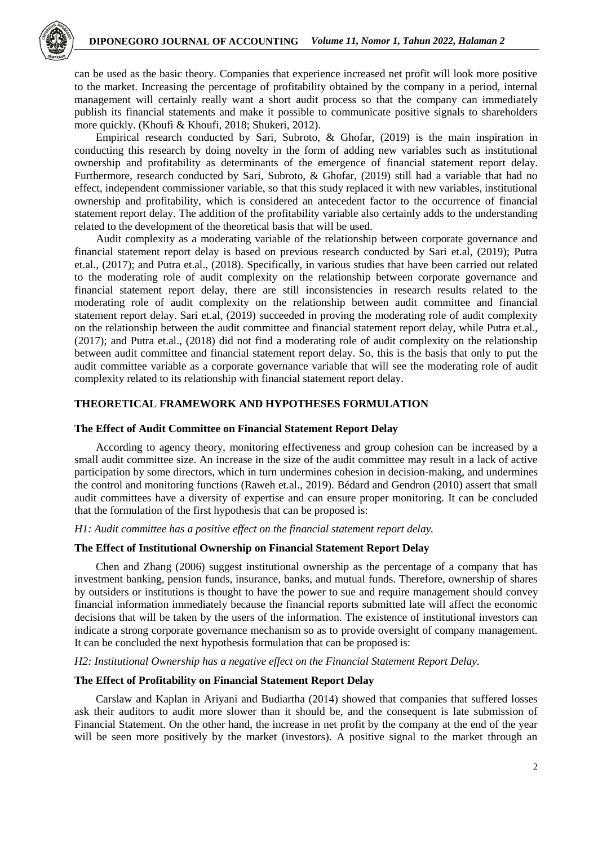

can be used as the basic theory. Companies that experience increased net profit will look more positive to the market. Increasing the percentage of profitability obtained by the company in a period, internal management will certainly really want a short audit process so that the company can immediately publish its financial statements and make it possible to communicate positive signals to shareholders more quickly. (Khoufi & Khoufi, 2018; Shukeri, 2012).

Empirical research conducted by Sari, Subroto, & Ghofar, (2019) is the main inspiration in conducting this research by doing novelty in the form of adding new variables such as institutional ownership and profitability as determinants of the emergence of financial statement report delay. Furthermore, research conducted by Sari, Subroto, & Ghofar, (2019) still had a variable that had no effect, independent commissioner variable, so that this study replaced it with new variables, institutional ownership and profitability, which is considered an antecedent factor to the occurrence of financial statement report delay. The addition of the profitability variable also certainly adds to the understanding related to the development of the theoretical basis that will be used.

Audit complexity as a moderating variable of the relationship between corporate governance and financial statement report delay is based on previous research conducted by Sari et.al, (2019); Putra et.al., (2017); and Putra et.al., (2018). Specifically, in various studies that have been carried out related to the moderating role of audit complexity on the relationship between corporate governance and financial statement report delay, there are still inconsistencies in research results related to the moderating role of audit complexity on the relationship between audit committee and financial statement report delay. Sari et.al, (2019) succeeded in proving the moderating role of audit complexity on the relationship between the audit committee and financial statement report delay, while Putra et.al., (2017); and Putra et.al., (2018) did not find a moderating role of audit complexity on the relationship between audit committee and financial statement report delay. So, this is the basis that only to put the audit committee variable as a corporate governance variable that will see the moderating role of audit complexity related to its relationship with financial statement report delay.

## **THEORETICAL FRAMEWORK AND HYPOTHESES FORMULATION**

## **The Effect of Audit Committee on Financial Statement Report Delay**

According to agency theory, monitoring effectiveness and group cohesion can be increased by a small audit committee size. An increase in the size of the audit committee may result in a lack of active participation by some directors, which in turn undermines cohesion in decision-making, and undermines the control and monitoring functions (Raweh et.al., 2019). Bédard and Gendron (2010) assert that small audit committees have a diversity of expertise and can ensure proper monitoring. It can be concluded that the formulation of the first hypothesis that can be proposed is:

#### *H1: Audit committee has a positive effect on the financial statement report delay.*

## **The Effect of Institutional Ownership on Financial Statement Report Delay**

Chen and Zhang (2006) suggest institutional ownership as the percentage of a company that has investment banking, pension funds, insurance, banks, and mutual funds. Therefore, ownership of shares by outsiders or institutions is thought to have the power to sue and require management should convey financial information immediately because the financial reports submitted late will affect the economic decisions that will be taken by the users of the information. The existence of institutional investors can indicate a strong corporate governance mechanism so as to provide oversight of company management. It can be concluded the next hypothesis formulation that can be proposed is:

*H2: Institutional Ownership has a negative effect on the Financial Statement Report Delay.*

## **The Effect of Profitability on Financial Statement Report Delay**

Carslaw and Kaplan in Ariyani and Budiartha (2014) showed that companies that suffered losses ask their auditors to audit more slower than it should be, and the consequent is late submission of Financial Statement. On the other hand, the increase in net profit by the company at the end of the year will be seen more positively by the market (investors). A positive signal to the market through an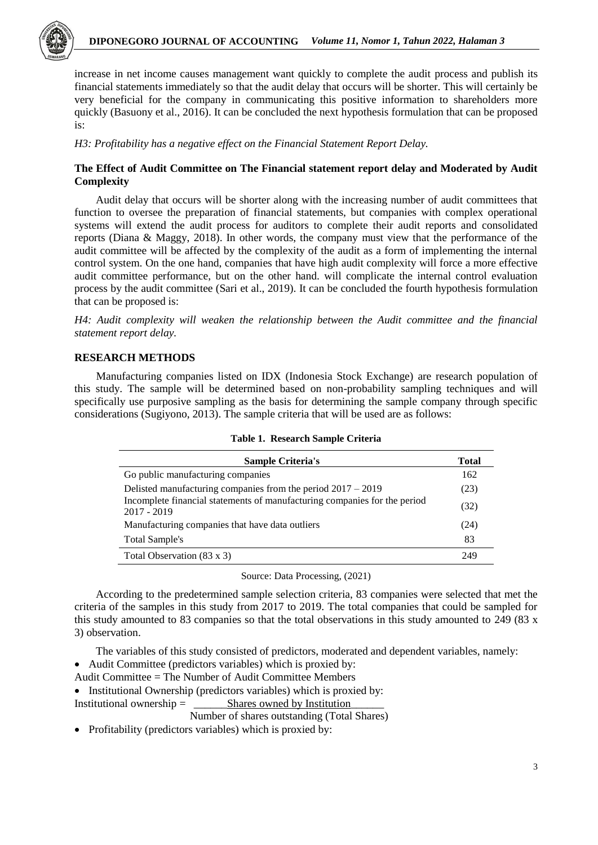

increase in net income causes management want quickly to complete the audit process and publish its financial statements immediately so that the audit delay that occurs will be shorter. This will certainly be very beneficial for the company in communicating this positive information to shareholders more quickly (Basuony et al., 2016). It can be concluded the next hypothesis formulation that can be proposed is:

*H3: Profitability has a negative effect on the Financial Statement Report Delay.*

## **The Effect of Audit Committee on The Financial statement report delay and Moderated by Audit Complexity**

Audit delay that occurs will be shorter along with the increasing number of audit committees that function to oversee the preparation of financial statements, but companies with complex operational systems will extend the audit process for auditors to complete their audit reports and consolidated reports (Diana & Maggy, 2018). In other words, the company must view that the performance of the audit committee will be affected by the complexity of the audit as a form of implementing the internal control system. On the one hand, companies that have high audit complexity will force a more effective audit committee performance, but on the other hand. will complicate the internal control evaluation process by the audit committee (Sari et al., 2019). It can be concluded the fourth hypothesis formulation that can be proposed is:

*H4: Audit complexity will weaken the relationship between the Audit committee and the financial statement report delay.*

## **RESEARCH METHODS**

Manufacturing companies listed on IDX (Indonesia Stock Exchange) are research population of this study. The sample will be determined based on non-probability sampling techniques and will specifically use purposive sampling as the basis for determining the sample company through specific considerations (Sugiyono, 2013). The sample criteria that will be used are as follows:

| <b>Sample Criteria's</b>                                                                   | <b>Total</b> |
|--------------------------------------------------------------------------------------------|--------------|
| Go public manufacturing companies                                                          | 162          |
| Delisted manufacturing companies from the period $2017 - 2019$                             | (23)         |
| Incomplete financial statements of manufacturing companies for the period<br>$2017 - 2019$ | (32)         |
| Manufacturing companies that have data outliers                                            | (24)         |
| Total Sample's                                                                             | 83           |
| Total Observation (83 x 3)                                                                 | 249          |

**Table 1. Research Sample Criteria**

Source: Data Processing, (2021)

According to the predetermined sample selection criteria, 83 companies were selected that met the criteria of the samples in this study from 2017 to 2019. The total companies that could be sampled for this study amounted to 83 companies so that the total observations in this study amounted to 249 (83 x 3) observation.

The variables of this study consisted of predictors, moderated and dependent variables, namely:

- Audit Committee (predictors variables) which is proxied by:
- Audit Committee = The Number of Audit Committee Members
- Institutional Ownership (predictors variables) which is proxied by:

Institutional ownership = \_\_\_\_\_\_Shares owned by Institution\_\_\_\_\_\_

Number of shares outstanding (Total Shares)

• Profitability (predictors variables) which is proxied by: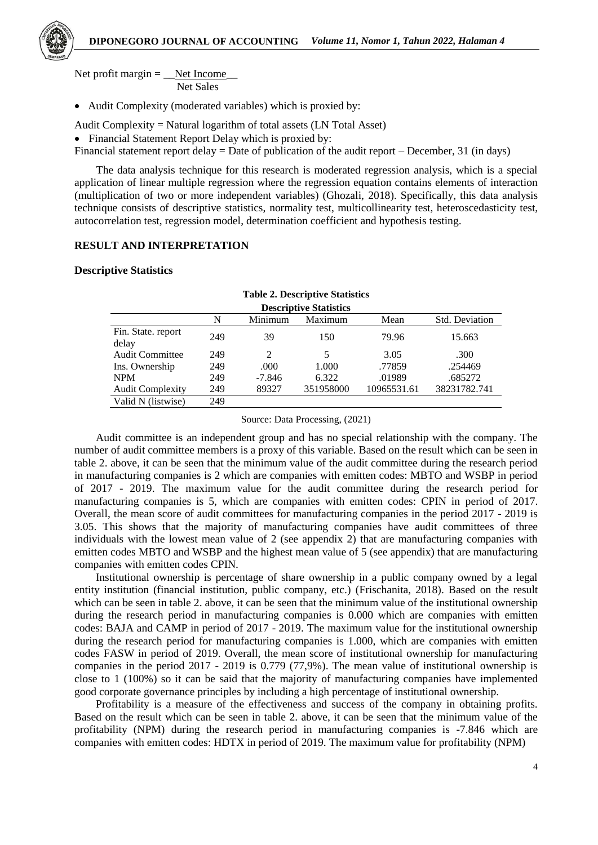

Net profit margin  $=$  Net Income Net Sales

Audit Complexity (moderated variables) which is proxied by:

- Audit Complexity = Natural logarithm of total assets (LN Total Asset)
- Financial Statement Report Delay which is proxied by:
- Financial statement report delay = Date of publication of the audit report December, 31 (in days)

The data analysis technique for this research is moderated regression analysis, which is a special application of linear multiple regression where the regression equation contains elements of interaction (multiplication of two or more independent variables) (Ghozali, 2018). Specifically, this data analysis technique consists of descriptive statistics, normality test, multicollinearity test, heteroscedasticity test, autocorrelation test, regression model, determination coefficient and hypothesis testing.

## **RESULT AND INTERPRETATION**

## **Descriptive Statistics**

| <b>Table 2. Descriptive Statistics</b> |     |          |           |             |                       |  |  |
|----------------------------------------|-----|----------|-----------|-------------|-----------------------|--|--|
| <b>Descriptive Statistics</b>          |     |          |           |             |                       |  |  |
|                                        | N   | Minimum  | Maximum   | Mean        | <b>Std. Deviation</b> |  |  |
| Fin. State. report<br>delay            | 249 | 39       | 150       | 79.96       | 15.663                |  |  |
| Audit Committee                        | 249 | 2        | 5         | 3.05        | .300                  |  |  |
| Ins. Ownership                         | 249 | .000     | 1.000     | .77859      | .254469               |  |  |
| <b>NPM</b>                             | 249 | $-7.846$ | 6.322     | .01989      | .685272               |  |  |
| <b>Audit Complexity</b>                | 249 | 89327    | 351958000 | 10965531.61 | 38231782.741          |  |  |
| Valid N (listwise)                     | 249 |          |           |             |                       |  |  |

Source: Data Processing, (2021)

Audit committee is an independent group and has no special relationship with the company. The number of audit committee members is a proxy of this variable. Based on the result which can be seen in table 2. above, it can be seen that the minimum value of the audit committee during the research period in manufacturing companies is 2 which are companies with emitten codes: MBTO and WSBP in period of 2017 - 2019. The maximum value for the audit committee during the research period for manufacturing companies is 5, which are companies with emitten codes: CPIN in period of 2017. Overall, the mean score of audit committees for manufacturing companies in the period 2017 - 2019 is 3.05. This shows that the majority of manufacturing companies have audit committees of three individuals with the lowest mean value of 2 (see appendix 2) that are manufacturing companies with emitten codes MBTO and WSBP and the highest mean value of 5 (see appendix) that are manufacturing companies with emitten codes CPIN.

Institutional ownership is percentage of share ownership in a public company owned by a legal entity institution (financial institution, public company, etc.) (Frischanita, 2018). Based on the result which can be seen in table 2. above, it can be seen that the minimum value of the institutional ownership during the research period in manufacturing companies is 0.000 which are companies with emitten codes: BAJA and CAMP in period of 2017 - 2019. The maximum value for the institutional ownership during the research period for manufacturing companies is 1.000, which are companies with emitten codes FASW in period of 2019. Overall, the mean score of institutional ownership for manufacturing companies in the period 2017 - 2019 is 0.779 (77,9%). The mean value of institutional ownership is close to 1 (100%) so it can be said that the majority of manufacturing companies have implemented good corporate governance principles by including a high percentage of institutional ownership.

Profitability is a measure of the effectiveness and success of the company in obtaining profits. Based on the result which can be seen in table 2. above, it can be seen that the minimum value of the profitability (NPM) during the research period in manufacturing companies is -7.846 which are companies with emitten codes: HDTX in period of 2019. The maximum value for profitability (NPM)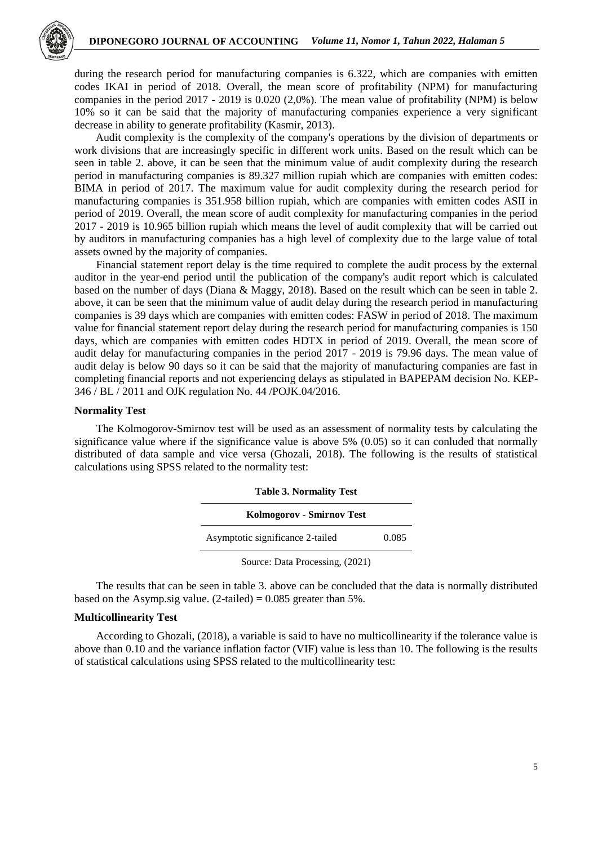

during the research period for manufacturing companies is 6.322, which are companies with emitten codes IKAI in period of 2018. Overall, the mean score of profitability (NPM) for manufacturing companies in the period 2017 - 2019 is 0.020 (2,0%). The mean value of profitability (NPM) is below 10% so it can be said that the majority of manufacturing companies experience a very significant decrease in ability to generate profitability (Kasmir, 2013).

Audit complexity is the complexity of the company's operations by the division of departments or work divisions that are increasingly specific in different work units. Based on the result which can be seen in table 2. above, it can be seen that the minimum value of audit complexity during the research period in manufacturing companies is 89.327 million rupiah which are companies with emitten codes: BIMA in period of 2017. The maximum value for audit complexity during the research period for manufacturing companies is 351.958 billion rupiah, which are companies with emitten codes ASII in period of 2019. Overall, the mean score of audit complexity for manufacturing companies in the period 2017 - 2019 is 10.965 billion rupiah which means the level of audit complexity that will be carried out by auditors in manufacturing companies has a high level of complexity due to the large value of total assets owned by the majority of companies.

Financial statement report delay is the time required to complete the audit process by the external auditor in the year-end period until the publication of the company's audit report which is calculated based on the number of days (Diana & Maggy, 2018). Based on the result which can be seen in table 2. above, it can be seen that the minimum value of audit delay during the research period in manufacturing companies is 39 days which are companies with emitten codes: FASW in period of 2018. The maximum value for financial statement report delay during the research period for manufacturing companies is 150 days, which are companies with emitten codes HDTX in period of 2019. Overall, the mean score of audit delay for manufacturing companies in the period 2017 - 2019 is 79.96 days. The mean value of audit delay is below 90 days so it can be said that the majority of manufacturing companies are fast in completing financial reports and not experiencing delays as stipulated in BAPEPAM decision No. KEP-346 / BL / 2011 and OJK regulation No. 44 /POJK.04/2016.

#### **Normality Test**

The Kolmogorov-Smirnov test will be used as an assessment of normality tests by calculating the significance value where if the significance value is above 5% (0.05) so it can conluded that normally distributed of data sample and vice versa (Ghozali, 2018). The following is the results of statistical calculations using SPSS related to the normality test:

| <b>Table 3. Normality Test</b>   |       |  |  |  |
|----------------------------------|-------|--|--|--|
| Kolmogorov - Smirnov Test        |       |  |  |  |
| Asymptotic significance 2-tailed | 0.085 |  |  |  |
| Source: Data Processing, (2021)  |       |  |  |  |

The results that can be seen in table 3. above can be concluded that the data is normally distributed based on the Asymp.sig value.  $(2$ -tailed) = 0.085 greater than 5%.

#### **Multicollinearity Test**

According to Ghozali, (2018), a variable is said to have no multicollinearity if the tolerance value is above than 0.10 and the variance inflation factor (VIF) value is less than 10. The following is the results of statistical calculations using SPSS related to the multicollinearity test: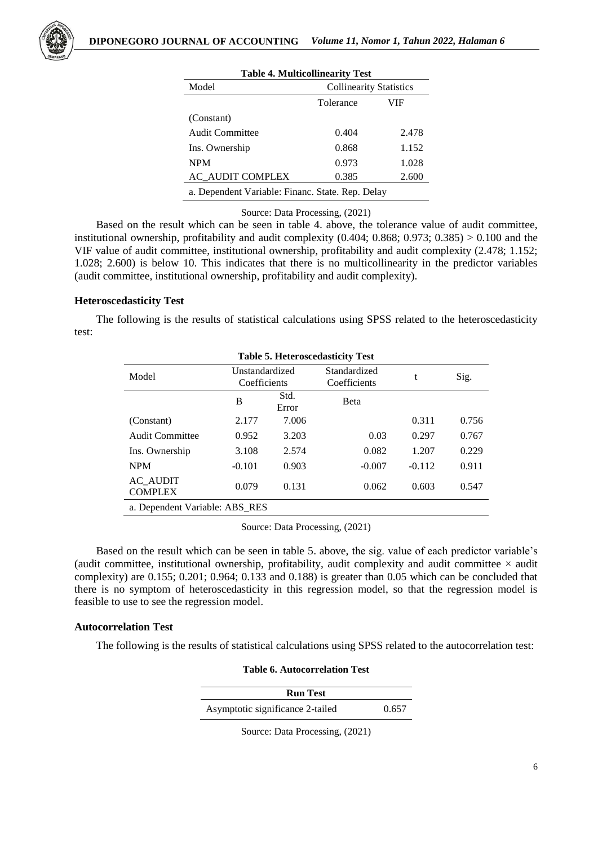| <b>Table 4. Multicollinearity Test</b>           |                                |       |  |  |  |
|--------------------------------------------------|--------------------------------|-------|--|--|--|
| Model                                            | <b>Collinearity Statistics</b> |       |  |  |  |
|                                                  | Tolerance<br>VIF               |       |  |  |  |
| (Constant)                                       |                                |       |  |  |  |
| <b>Audit Committee</b>                           | 0.404                          | 2.478 |  |  |  |
| Ins. Ownership                                   | 0.868                          | 1.152 |  |  |  |
| <b>NPM</b>                                       | 0.973                          | 1.028 |  |  |  |
| <b>AC AUDIT COMPLEX</b>                          | 0.385                          | 2.600 |  |  |  |
| a. Dependent Variable: Financ. State. Rep. Delay |                                |       |  |  |  |

Source: Data Processing, (2021)

Based on the result which can be seen in table 4. above, the tolerance value of audit committee, institutional ownership, profitability and audit complexity  $(0.404; 0.868; 0.973; 0.385) > 0.100$  and the VIF value of audit committee, institutional ownership, profitability and audit complexity (2.478; 1.152; 1.028; 2.600) is below 10. This indicates that there is no multicollinearity in the predictor variables (audit committee, institutional ownership, profitability and audit complexity).

## **Heteroscedasticity Test**

The following is the results of statistical calculations using SPSS related to the heteroscedasticity test:

| <b>Table 5. Heteroscedasticity Test</b> |                                |               |                              |          |       |  |  |
|-----------------------------------------|--------------------------------|---------------|------------------------------|----------|-------|--|--|
| Model                                   | Unstandardized<br>Coefficients |               | Standardized<br>Coefficients | t        | Sig.  |  |  |
|                                         | B                              | Std.<br>Error | <b>B</b> eta                 |          |       |  |  |
| (Constant)                              | 2.177                          | 7.006         |                              | 0.311    | 0.756 |  |  |
| <b>Audit Committee</b>                  | 0.952                          | 3.203         | 0.03                         | 0.297    | 0.767 |  |  |
| Ins. Ownership                          | 3.108                          | 2.574         | 0.082                        | 1.207    | 0.229 |  |  |
| <b>NPM</b>                              | $-0.101$                       | 0.903         | $-0.007$                     | $-0.112$ | 0.911 |  |  |
| AC AUDIT<br><b>COMPLEX</b>              | 0.079                          | 0.131         | 0.062                        | 0.603    | 0.547 |  |  |
| a. Dependent Variable: ABS RES          |                                |               |                              |          |       |  |  |

Source: Data Processing, (2021)

Based on the result which can be seen in table 5. above, the sig. value of each predictor variable's (audit committee, institutional ownership, profitability, audit complexity and audit committee  $\times$  audit complexity) are 0.155; 0.201; 0.964; 0.133 and 0.188) is greater than 0.05 which can be concluded that there is no symptom of heteroscedasticity in this regression model, so that the regression model is feasible to use to see the regression model.

## **Autocorrelation Test**

The following is the results of statistical calculations using SPSS related to the autocorrelation test:

**Table 6. Autocorrelation Test**

| <b>Run Test</b>                  |       |
|----------------------------------|-------|
| Asymptotic significance 2-tailed | 0.657 |

Source: Data Processing, (2021)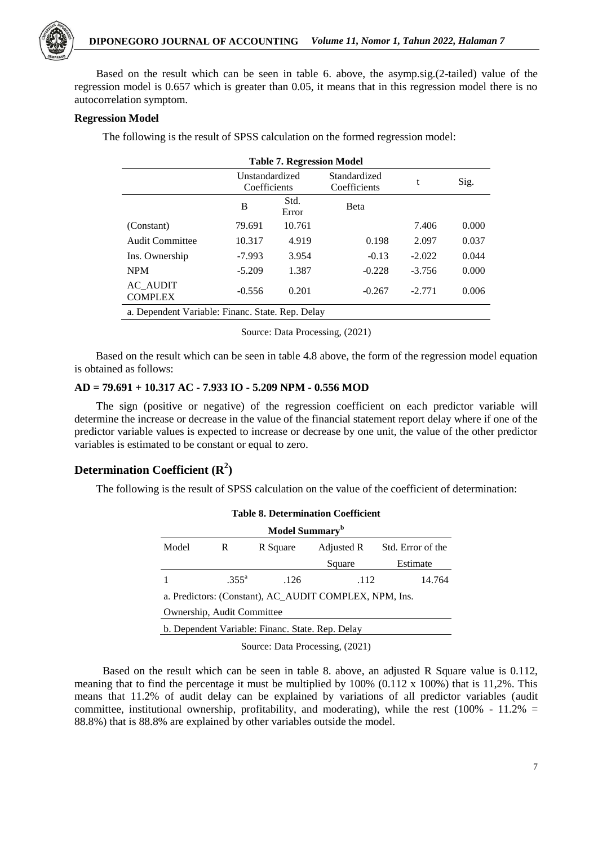

Based on the result which can be seen in table 6. above, the asymp.sig.(2-tailed) value of the regression model is 0.657 which is greater than 0.05, it means that in this regression model there is no autocorrelation symptom.

## **Regression Model**

The following is the result of SPSS calculation on the formed regression model:

| <b>Table 7. Regression Model</b>                 |                                |               |                              |          |       |  |
|--------------------------------------------------|--------------------------------|---------------|------------------------------|----------|-------|--|
|                                                  | Unstandardized<br>Coefficients |               | Standardized<br>Coefficients | t        | Sig.  |  |
|                                                  | B                              | Std.<br>Error | <b>B</b> eta                 |          |       |  |
| (Constant)                                       | 79.691                         | 10.761        |                              | 7.406    | 0.000 |  |
| <b>Audit Committee</b>                           | 10.317                         | 4.919         | 0.198                        | 2.097    | 0.037 |  |
| Ins. Ownership                                   | $-7.993$                       | 3.954         | $-0.13$                      | $-2.022$ | 0.044 |  |
| <b>NPM</b>                                       | $-5.209$                       | 1.387         | $-0.228$                     | $-3.756$ | 0.000 |  |
| <b>AC AUDIT</b><br><b>COMPLEX</b>                | $-0.556$                       | 0.201         | $-0.267$                     | $-2.771$ | 0.006 |  |
| a. Dependent Variable: Financ. State. Rep. Delay |                                |               |                              |          |       |  |

Source: Data Processing, (2021)

Based on the result which can be seen in table 4.8 above, the form of the regression model equation is obtained as follows:

## **AD = 79.691 + 10.317 AC - 7.933 IO - 5.209 NPM - 0.556 MOD**

The sign (positive or negative) of the regression coefficient on each predictor variable will determine the increase or decrease in the value of the financial statement report delay where if one of the predictor variable values is expected to increase or decrease by one unit, the value of the other predictor variables is estimated to be constant or equal to zero.

## **Determination Coefficient (R<sup>2</sup> )**

The following is the result of SPSS calculation on the value of the coefficient of determination:

| <b>Table 8. Determination Coefficient</b>              |                |          |            |                   |  |  |
|--------------------------------------------------------|----------------|----------|------------|-------------------|--|--|
| Model Summary <sup>b</sup>                             |                |          |            |                   |  |  |
| Model                                                  | R              | R Square | Adjusted R | Std. Error of the |  |  |
|                                                        |                |          | Square     | Estimate          |  |  |
|                                                        | $.355^{\circ}$ | .126     | .112       | 14.764            |  |  |
| a. Predictors: (Constant), AC AUDIT COMPLEX, NPM, Ins. |                |          |            |                   |  |  |
| Ownership, Audit Committee                             |                |          |            |                   |  |  |
| b. Dependent Variable: Financ. State. Rep. Delay       |                |          |            |                   |  |  |

Source: Data Processing, (2021)

Based on the result which can be seen in table 8. above, an adjusted R Square value is 0.112, meaning that to find the percentage it must be multiplied by 100% (0.112 x 100%) that is 11,2%. This means that 11.2% of audit delay can be explained by variations of all predictor variables (audit committee, institutional ownership, profitability, and moderating), while the rest (100% - 11.2% = 88.8%) that is 88.8% are explained by other variables outside the model.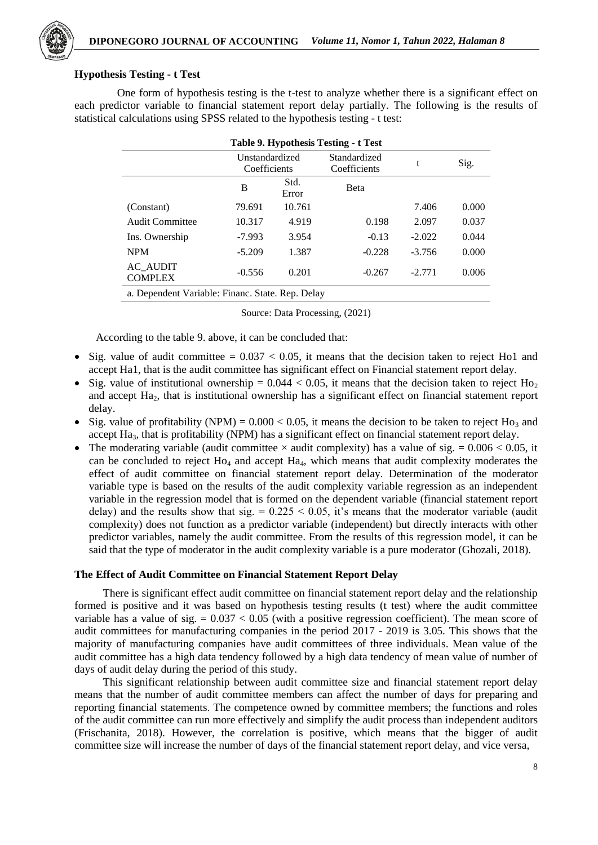

## **Hypothesis Testing - t Test**

One form of hypothesis testing is the t-test to analyze whether there is a significant effect on each predictor variable to financial statement report delay partially. The following is the results of statistical calculations using SPSS related to the hypothesis testing - t test:

| Table 9. Hypothesis Testing - t Test             |                                |               |                              |          |       |  |  |
|--------------------------------------------------|--------------------------------|---------------|------------------------------|----------|-------|--|--|
|                                                  | Unstandardized<br>Coefficients |               | Standardized<br>Coefficients | t        | Sig.  |  |  |
|                                                  | B                              | Std.<br>Error | Beta                         |          |       |  |  |
| (Constant)                                       | 79.691                         | 10.761        |                              | 7.406    | 0.000 |  |  |
| <b>Audit Committee</b>                           | 10.317                         | 4.919         | 0.198                        | 2.097    | 0.037 |  |  |
| Ins. Ownership                                   | $-7.993$                       | 3.954         | $-0.13$                      | $-2.022$ | 0.044 |  |  |
| <b>NPM</b>                                       | $-5.209$                       | 1.387         | $-0.228$                     | $-3.756$ | 0.000 |  |  |
| <b>AC_AUDIT</b><br><b>COMPLEX</b>                | $-0.556$                       | 0.201         | $-0.267$                     | $-2.771$ | 0.006 |  |  |
| a. Dependent Variable: Financ. State. Rep. Delay |                                |               |                              |          |       |  |  |

Source: Data Processing, (2021)

According to the table 9. above, it can be concluded that:

- Sig. value of audit committee  $= 0.037 < 0.05$ , it means that the decision taken to reject Ho1 and accept Ha1, that is the audit committee has significant effect on Financial statement report delay.
- Sig. value of institutional ownership =  $0.044 < 0.05$ , it means that the decision taken to reject Ho<sub>2</sub> and accept Ha2, that is institutional ownership has a significant effect on financial statement report delay.
- Sig. value of profitability (NPM) =  $0.000 < 0.05$ , it means the decision to be taken to reject H<sub>O3</sub> and accept Ha<sub>3</sub>, that is profitability (NPM) has a significant effect on financial statement report delay.
- The moderating variable (audit committee  $\times$  audit complexity) has a value of sig. = 0.006  $\times$  0.05, it can be concluded to reject  $Ho_4$  and accept  $Ha_4$ , which means that audit complexity moderates the effect of audit committee on financial statement report delay. Determination of the moderator variable type is based on the results of the audit complexity variable regression as an independent variable in the regression model that is formed on the dependent variable (financial statement report delay) and the results show that sig.  $= 0.225 \le 0.05$ , it's means that the moderator variable (audit complexity) does not function as a predictor variable (independent) but directly interacts with other predictor variables, namely the audit committee. From the results of this regression model, it can be said that the type of moderator in the audit complexity variable is a pure moderator (Ghozali, 2018).

#### **The Effect of Audit Committee on Financial Statement Report Delay**

There is significant effect audit committee on financial statement report delay and the relationship formed is positive and it was based on hypothesis testing results (t test) where the audit committee variable has a value of sig.  $= 0.037 < 0.05$  (with a positive regression coefficient). The mean score of audit committees for manufacturing companies in the period 2017 - 2019 is 3.05. This shows that the majority of manufacturing companies have audit committees of three individuals. Mean value of the audit committee has a high data tendency followed by a high data tendency of mean value of number of days of audit delay during the period of this study.

This significant relationship between audit committee size and financial statement report delay means that the number of audit committee members can affect the number of days for preparing and reporting financial statements. The competence owned by committee members; the functions and roles of the audit committee can run more effectively and simplify the audit process than independent auditors (Frischanita, 2018). However, the correlation is positive, which means that the bigger of audit committee size will increase the number of days of the financial statement report delay, and vice versa,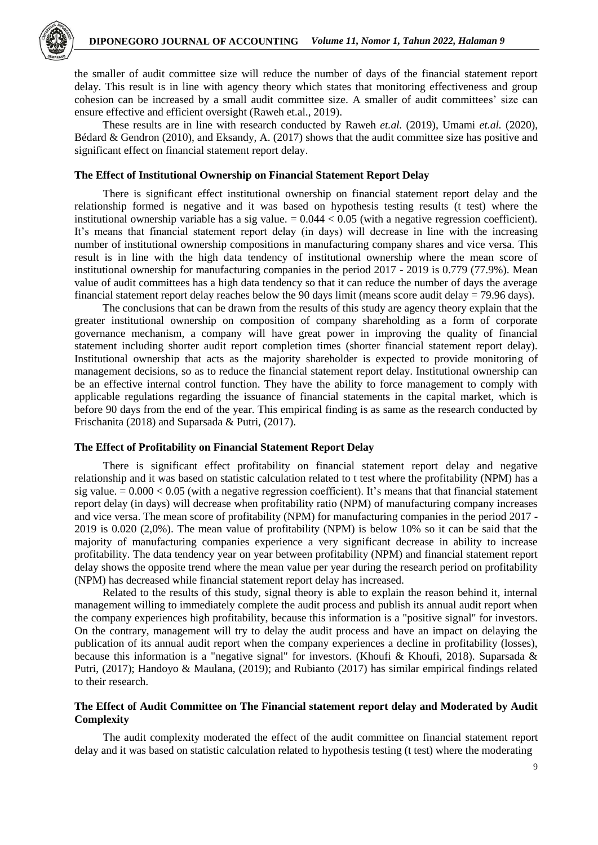

the smaller of audit committee size will reduce the number of days of the financial statement report delay. This result is in line with agency theory which states that monitoring effectiveness and group cohesion can be increased by a small audit committee size. A smaller of audit committees' size can ensure effective and efficient oversight (Raweh et.al., 2019).

These results are in line with research conducted by Raweh *et.al.* (2019), Umami *et.al.* (2020), Bédard & Gendron (2010), and Eksandy, A. (2017) shows that the audit committee size has positive and significant effect on financial statement report delay.

## **The Effect of Institutional Ownership on Financial Statement Report Delay**

There is significant effect institutional ownership on financial statement report delay and the relationship formed is negative and it was based on hypothesis testing results (t test) where the institutional ownership variable has a sig value.  $= 0.044 < 0.05$  (with a negative regression coefficient). It's means that financial statement report delay (in days) will decrease in line with the increasing number of institutional ownership compositions in manufacturing company shares and vice versa. This result is in line with the high data tendency of institutional ownership where the mean score of institutional ownership for manufacturing companies in the period 2017 - 2019 is 0.779 (77.9%). Mean value of audit committees has a high data tendency so that it can reduce the number of days the average financial statement report delay reaches below the 90 days limit (means score audit delay = 79.96 days).

The conclusions that can be drawn from the results of this study are agency theory explain that the greater institutional ownership on composition of company shareholding as a form of corporate governance mechanism, a company will have great power in improving the quality of financial statement including shorter audit report completion times (shorter financial statement report delay). Institutional ownership that acts as the majority shareholder is expected to provide monitoring of management decisions, so as to reduce the financial statement report delay. Institutional ownership can be an effective internal control function. They have the ability to force management to comply with applicable regulations regarding the issuance of financial statements in the capital market, which is before 90 days from the end of the year. This empirical finding is as same as the research conducted by Frischanita (2018) and Suparsada & Putri, (2017).

#### **The Effect of Profitability on Financial Statement Report Delay**

There is significant effect profitability on financial statement report delay and negative relationship and it was based on statistic calculation related to t test where the profitability (NPM) has a sig value.  $= 0.000 < 0.05$  (with a negative regression coefficient). It's means that that financial statement report delay (in days) will decrease when profitability ratio (NPM) of manufacturing company increases and vice versa. The mean score of profitability (NPM) for manufacturing companies in the period 2017 - 2019 is 0.020 (2,0%). The mean value of profitability (NPM) is below 10% so it can be said that the majority of manufacturing companies experience a very significant decrease in ability to increase profitability. The data tendency year on year between profitability (NPM) and financial statement report delay shows the opposite trend where the mean value per year during the research period on profitability (NPM) has decreased while financial statement report delay has increased.

Related to the results of this study, signal theory is able to explain the reason behind it, internal management willing to immediately complete the audit process and publish its annual audit report when the company experiences high profitability, because this information is a "positive signal" for investors. On the contrary, management will try to delay the audit process and have an impact on delaying the publication of its annual audit report when the company experiences a decline in profitability (losses), because this information is a "negative signal" for investors. (Khoufi & Khoufi, 2018). Suparsada & Putri, (2017); Handoyo & Maulana, (2019); and Rubianto (2017) has similar empirical findings related to their research.

## **The Effect of Audit Committee on The Financial statement report delay and Moderated by Audit Complexity**

The audit complexity moderated the effect of the audit committee on financial statement report delay and it was based on statistic calculation related to hypothesis testing (t test) where the moderating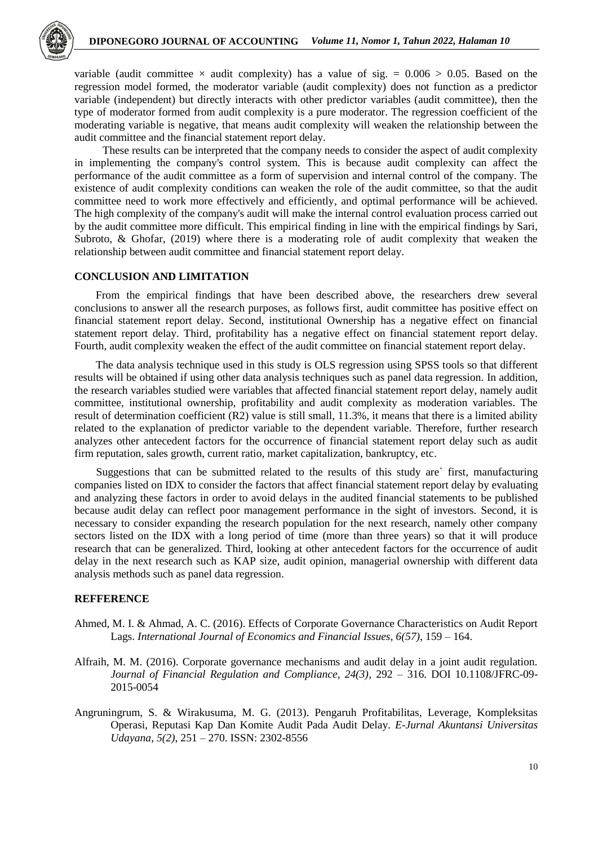

variable (audit committee  $\times$  audit complexity) has a value of sig. = 0.006  $> 0.05$ . Based on the regression model formed, the moderator variable (audit complexity) does not function as a predictor variable (independent) but directly interacts with other predictor variables (audit committee), then the type of moderator formed from audit complexity is a pure moderator. The regression coefficient of the moderating variable is negative, that means audit complexity will weaken the relationship between the audit committee and the financial statement report delay.

These results can be interpreted that the company needs to consider the aspect of audit complexity in implementing the company's control system. This is because audit complexity can affect the performance of the audit committee as a form of supervision and internal control of the company. The existence of audit complexity conditions can weaken the role of the audit committee, so that the audit committee need to work more effectively and efficiently, and optimal performance will be achieved. The high complexity of the company's audit will make the internal control evaluation process carried out by the audit committee more difficult. This empirical finding in line with the empirical findings by Sari, Subroto, & Ghofar, (2019) where there is a moderating role of audit complexity that weaken the relationship between audit committee and financial statement report delay.

## **CONCLUSION AND LIMITATION**

From the empirical findings that have been described above, the researchers drew several conclusions to answer all the research purposes, as follows first, audit committee has positive effect on financial statement report delay. Second, institutional Ownership has a negative effect on financial statement report delay. Third, profitability has a negative effect on financial statement report delay. Fourth, audit complexity weaken the effect of the audit committee on financial statement report delay.

The data analysis technique used in this study is OLS regression using SPSS tools so that different results will be obtained if using other data analysis techniques such as panel data regression. In addition, the research variables studied were variables that affected financial statement report delay, namely audit committee, institutional ownership, profitability and audit complexity as moderation variables. The result of determination coefficient (R2) value is still small, 11.3%, it means that there is a limited ability related to the explanation of predictor variable to the dependent variable. Therefore, further research analyzes other antecedent factors for the occurrence of financial statement report delay such as audit firm reputation, sales growth, current ratio, market capitalization, bankruptcy, etc.

Suggestions that can be submitted related to the results of this study are` first, manufacturing companies listed on IDX to consider the factors that affect financial statement report delay by evaluating and analyzing these factors in order to avoid delays in the audited financial statements to be published because audit delay can reflect poor management performance in the sight of investors. Second, it is necessary to consider expanding the research population for the next research, namely other company sectors listed on the IDX with a long period of time (more than three years) so that it will produce research that can be generalized. Third, looking at other antecedent factors for the occurrence of audit delay in the next research such as KAP size, audit opinion, managerial ownership with different data analysis methods such as panel data regression.

## **REFFERENCE**

- Ahmed, M. I. & Ahmad, A. C. (2016). Effects of Corporate Governance Characteristics on Audit Report Lags. *International Journal of Economics and Financial Issues, 6(57)*, 159 – 164.
- Alfraih, M. M. (2016). Corporate governance mechanisms and audit delay in a joint audit regulation. *Journal of Financial Regulation and Compliance, 24(3)*, 292 – 316. DOI 10.1108/JFRC-09- 2015-0054
- Angruningrum, S. & Wirakusuma, M. G. (2013). Pengaruh Profitabilitas, Leverage, Kompleksitas Operasi, Reputasi Kap Dan Komite Audit Pada Audit Delay. *E-Jurnal Akuntansi Universitas Udayana, 5(2)*, 251 – 270. ISSN: 2302-8556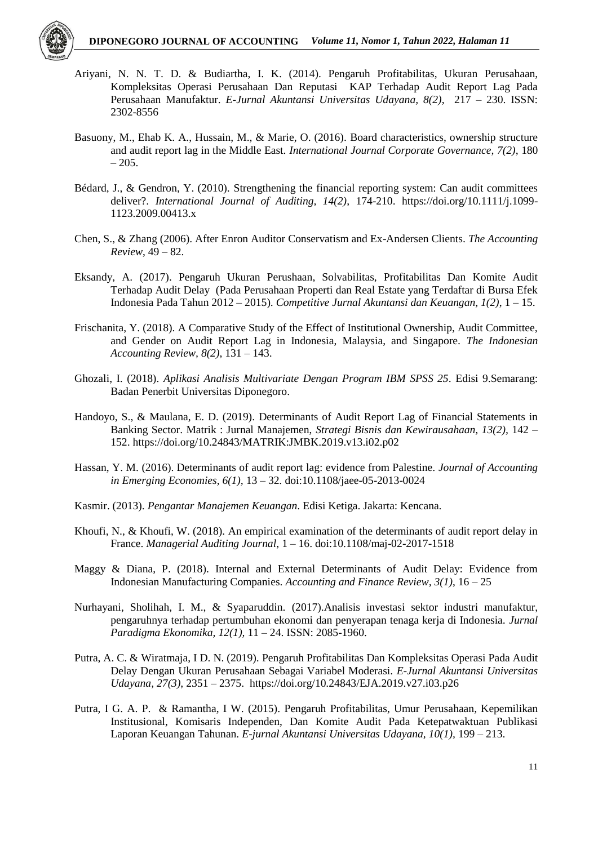

- Ariyani, N. N. T. D. & Budiartha, I. K. (2014). Pengaruh Profitabilitas, Ukuran Perusahaan, Kompleksitas Operasi Perusahaan Dan Reputasi KAP Terhadap Audit Report Lag Pada Perusahaan Manufaktur. *E-Jurnal Akuntansi Universitas Udayana, 8(2)*, 217 – 230. ISSN: 2302-8556
- Basuony, M., Ehab K. A., Hussain, M., & Marie, O. (2016). Board characteristics, ownership structure and audit report lag in the Middle East. *International Journal Corporate Governance, 7(2)*, 180  $-205.$
- Bédard, J., & Gendron, Y. (2010). Strengthening the financial reporting system: Can audit committees deliver?. *International Journal of Auditing, 14(2)*, 174-210. https://doi.org/10.1111/j.1099- 1123.2009.00413.x
- Chen, S., & Zhang (2006). After Enron Auditor Conservatism and Ex-Andersen Clients. *The Accounting Review*, 49 – 82.
- Eksandy, A. (2017). Pengaruh Ukuran Perushaan, Solvabilitas, Profitabilitas Dan Komite Audit Terhadap Audit Delay (Pada Perusahaan Properti dan Real Estate yang Terdaftar di Bursa Efek Indonesia Pada Tahun 2012 – 2015). *Competitive Jurnal Akuntansi dan Keuangan, 1(2)*, 1 – 15.
- Frischanita, Y. (2018). A Comparative Study of the Effect of Institutional Ownership, Audit Committee, and Gender on Audit Report Lag in Indonesia, Malaysia, and Singapore. *The Indonesian Accounting Review, 8(2)*, 131 – 143.
- Ghozali, I. (2018). *Aplikasi Analisis Multivariate Dengan Program IBM SPSS 25*. Edisi 9.Semarang: Badan Penerbit Universitas Diponegoro.
- Handoyo, S., & Maulana, E. D. (2019). Determinants of Audit Report Lag of Financial Statements in Banking Sector. Matrik : Jurnal Manajemen, *Strategi Bisnis dan Kewirausahaan, 13(2),* 142 – 152. https://doi.org/10.24843/MATRIK:JMBK.2019.v13.i02.p02
- Hassan, Y. M. (2016). Determinants of audit report lag: evidence from Palestine*. Journal of Accounting in Emerging Economies, 6(1),* 13 – 32*.* doi:10.1108/jaee-05-2013-0024
- Kasmir. (2013). *Pengantar Manajemen Keuangan*. Edisi Ketiga. Jakarta: Kencana.
- Khoufi, N., & Khoufi, W. (2018). An empirical examination of the determinants of audit report delay in France. *Managerial Auditing Journal*, 1 – 16. doi:10.1108/maj-02-2017-1518
- Maggy & Diana, P. (2018). Internal and External Determinants of Audit Delay: Evidence from Indonesian Manufacturing Companies. *Accounting and Finance Review, 3(1)*, 16 – 25
- Nurhayani, Sholihah, I. M., & Syaparuddin. (2017).Analisis investasi sektor industri manufaktur, pengaruhnya terhadap pertumbuhan ekonomi dan penyerapan tenaga kerja di Indonesia. *Jurnal Paradigma Ekonomika, 12(1),* 11 – 24. ISSN: 2085-1960.
- Putra, A. C. & Wiratmaja, I D. N. (2019). Pengaruh Profitabilitas Dan Kompleksitas Operasi Pada Audit Delay Dengan Ukuran Perusahaan Sebagai Variabel Moderasi. *E-Jurnal Akuntansi Universitas Udayana, 27(3)*, 2351 – 2375. https://doi.org/10.24843/EJA.2019.v27.i03.p26
- Putra, I G. A. P. & Ramantha, I W. (2015). Pengaruh Profitabilitas, Umur Perusahaan, Kepemilikan Institusional, Komisaris Independen, Dan Komite Audit Pada Ketepatwaktuan Publikasi Laporan Keuangan Tahunan. *E-jurnal Akuntansi Universitas Udayana, 10(1),* 199 – 213.